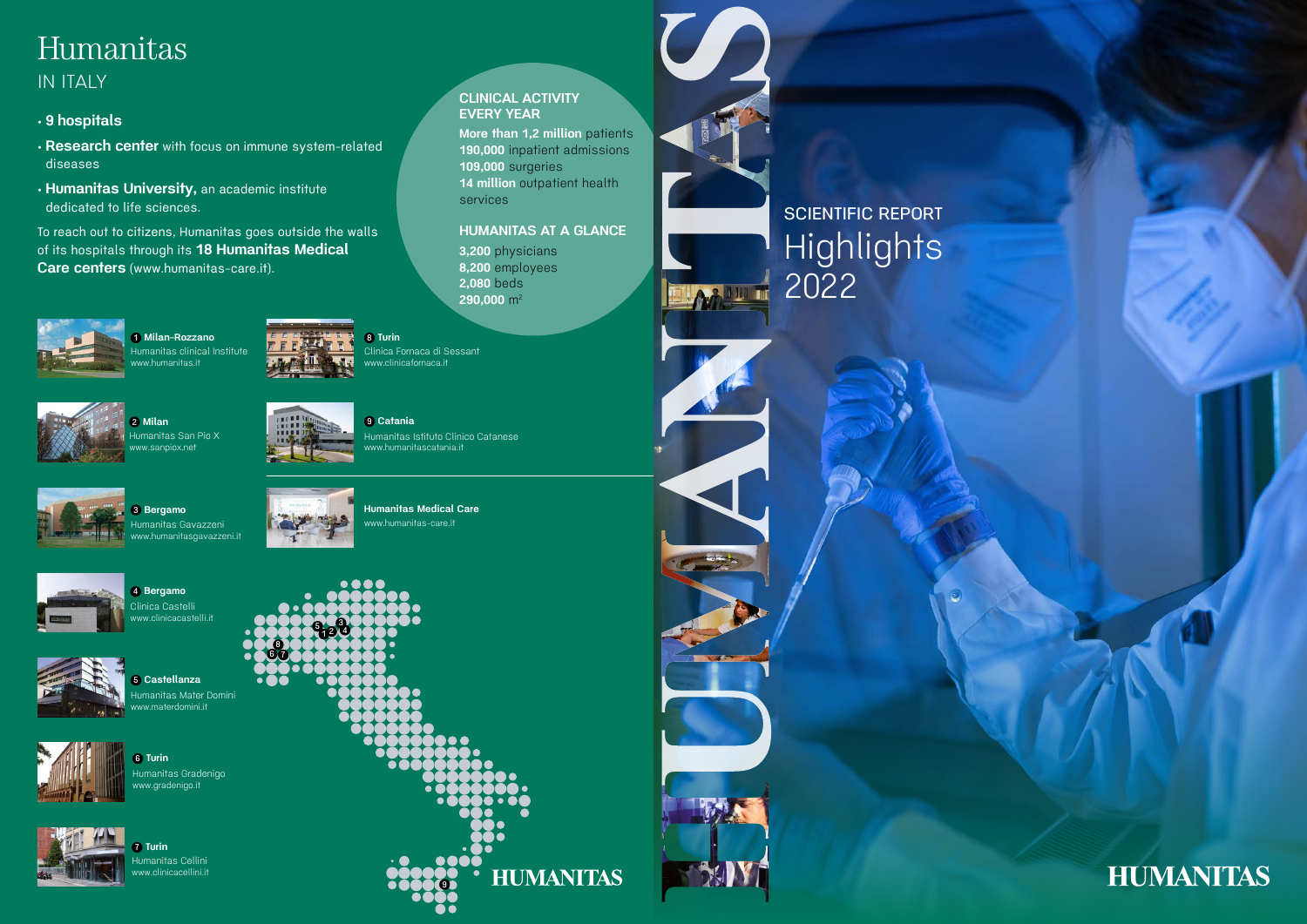# Humanitas IN ITALY

# • 9 hospitals

- Research center with focus on immune system-related diseases
- Humanitas University, an academic institute dedicated to life sciences.

To reach out to citizens, Humanitas goes outside the walls of its hospitals through its 18 Humanitas Medical Care centers (www.humanitas-care.it).

> 2,080 beds 290,000  $m^2$

14 million outpatient health



1 Milan-Rozzano Humanitas clinical Institute w.humanitas.it



7 8 6

EVERY YEAR



2 Milan umanitas San Pio X w.sanpiox.net





 $-\Delta h$ 

109,000 surgeries

4 Bergamo Clinica Castelli w.clinicacastelli.it



services

HUMANITAS AT A GLANCE

3,200 physicians 8,200 employees



6 Turin Humanitas Gradenigo w.gradenigo.it



**Turin** nanitas Cellini clinicacellini.it

8 Turin Clinica Fornaca di Sessant www.clinicafornaca.it

9 Catania Humanitas Istituto Clinico Catanese www.humanitascatania.it



Humanitas Medical Care www.humanitas-care.it



3 Bergamo umanitas Gavazzeni www.humanitasgavazzeni.it





umanitas Mater Domini ww.materdomini.it



# **HUMANITAS**